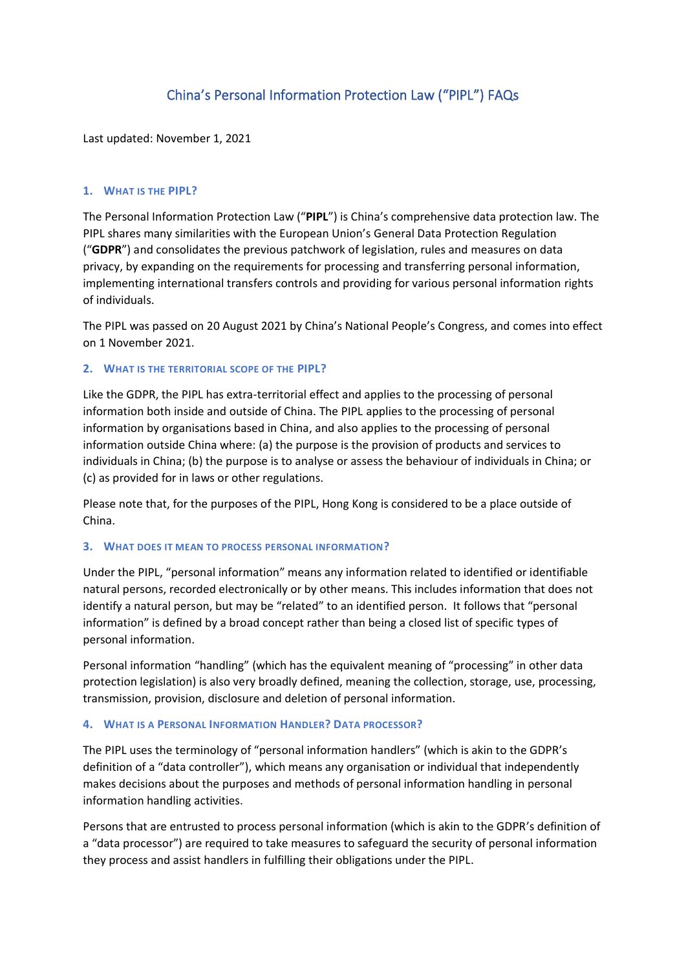# China's Personal Information Protection Law ("PIPL") FAQs

Last updated: November 1, 2021

#### **1. WHAT IS THE PIPL?**

The Personal Information Protection Law ("**PIPL**") is China's comprehensive data protection law. The PIPL shares many similarities with the European Union's General Data Protection Regulation ("**GDPR**") and consolidates the previous patchwork of legislation, rules and measures on data privacy, by expanding on the requirements for processing and transferring personal information, implementing international transfers controls and providing for various personal information rights of individuals.

The PIPL was passed on 20 August 2021 by China's National People's Congress, and comes into effect on 1 November 2021.

#### **2. WHAT IS THE TERRITORIAL SCOPE OF THE PIPL?**

Like the GDPR, the PIPL has extra-territorial effect and applies to the processing of personal information both inside and outside of China. The PIPL applies to the processing of personal information by organisations based in China, and also applies to the processing of personal information outside China where: (a) the purpose is the provision of products and services to individuals in China; (b) the purpose is to analyse or assess the behaviour of individuals in China; or (c) as provided for in laws or other regulations.

Please note that, for the purposes of the PIPL, Hong Kong is considered to be a place outside of China.

#### **3. WHAT DOES IT MEAN TO PROCESS PERSONAL INFORMATION?**

Under the PIPL, "personal information" means any information related to identified or identifiable natural persons, recorded electronically or by other means. This includes information that does not identify a natural person, but may be "related" to an identified person. It follows that "personal information" is defined by a broad concept rather than being a closed list of specific types of personal information.

Personal information "handling" (which has the equivalent meaning of "processing" in other data protection legislation) is also very broadly defined, meaning the collection, storage, use, processing, transmission, provision, disclosure and deletion of personal information.

## **4. WHAT IS A PERSONAL INFORMATION HANDLER? DATA PROCESSOR?**

The PIPL uses the terminology of "personal information handlers" (which is akin to the GDPR's definition of a "data controller"), which means any organisation or individual that independently makes decisions about the purposes and methods of personal information handling in personal information handling activities.

Persons that are entrusted to process personal information (which is akin to the GDPR's definition of a "data processor") are required to take measures to safeguard the security of personal information they process and assist handlers in fulfilling their obligations under the PIPL.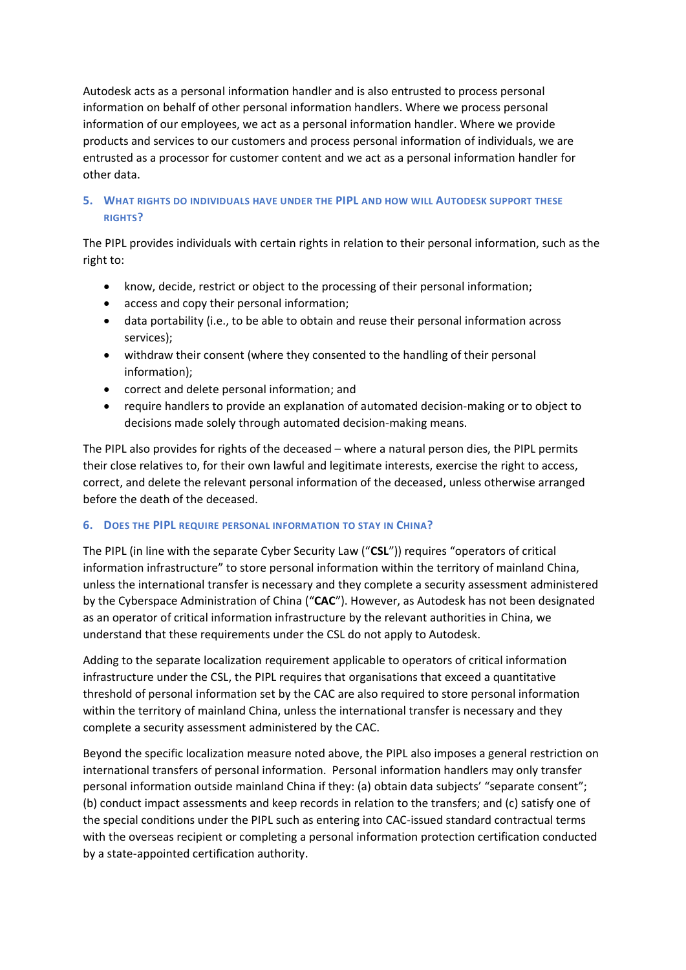Autodesk acts as a personal information handler and is also entrusted to process personal information on behalf of other personal information handlers. Where we process personal information of our employees, we act as a personal information handler. Where we provide products and services to our customers and process personal information of individuals, we are entrusted as a processor for customer content and we act as a personal information handler for other data.

# **5. WHAT RIGHTS DO INDIVIDUALS HAVE UNDER THE PIPL AND HOW WILL AUTODESK SUPPORT THESE RIGHTS?**

The PIPL provides individuals with certain rights in relation to their personal information, such as the right to:

- know, decide, restrict or object to the processing of their personal information;
- access and copy their personal information;
- data portability (i.e., to be able to obtain and reuse their personal information across services);
- withdraw their consent (where they consented to the handling of their personal information);
- correct and delete personal information; and
- require handlers to provide an explanation of automated decision-making or to object to decisions made solely through automated decision-making means.

The PIPL also provides for rights of the deceased – where a natural person dies, the PIPL permits their close relatives to, for their own lawful and legitimate interests, exercise the right to access, correct, and delete the relevant personal information of the deceased, unless otherwise arranged before the death of the deceased.

# **6. DOES THE PIPL REQUIRE PERSONAL INFORMATION TO STAY IN CHINA?**

The PIPL (in line with the separate Cyber Security Law ("**CSL**")) requires "operators of critical information infrastructure" to store personal information within the territory of mainland China, unless the international transfer is necessary and they complete a security assessment administered by the Cyberspace Administration of China ("**CAC**"). However, as Autodesk has not been designated as an operator of critical information infrastructure by the relevant authorities in China, we understand that these requirements under the CSL do not apply to Autodesk.

Adding to the separate localization requirement applicable to operators of critical information infrastructure under the CSL, the PIPL requires that organisations that exceed a quantitative threshold of personal information set by the CAC are also required to store personal information within the territory of mainland China, unless the international transfer is necessary and they complete a security assessment administered by the CAC.

Beyond the specific localization measure noted above, the PIPL also imposes a general restriction on international transfers of personal information. Personal information handlers may only transfer personal information outside mainland China if they: (a) obtain data subjects' "separate consent"; (b) conduct impact assessments and keep records in relation to the transfers; and (c) satisfy one of the special conditions under the PIPL such as entering into CAC-issued standard contractual terms with the overseas recipient or completing a personal information protection certification conducted by a state-appointed certification authority.